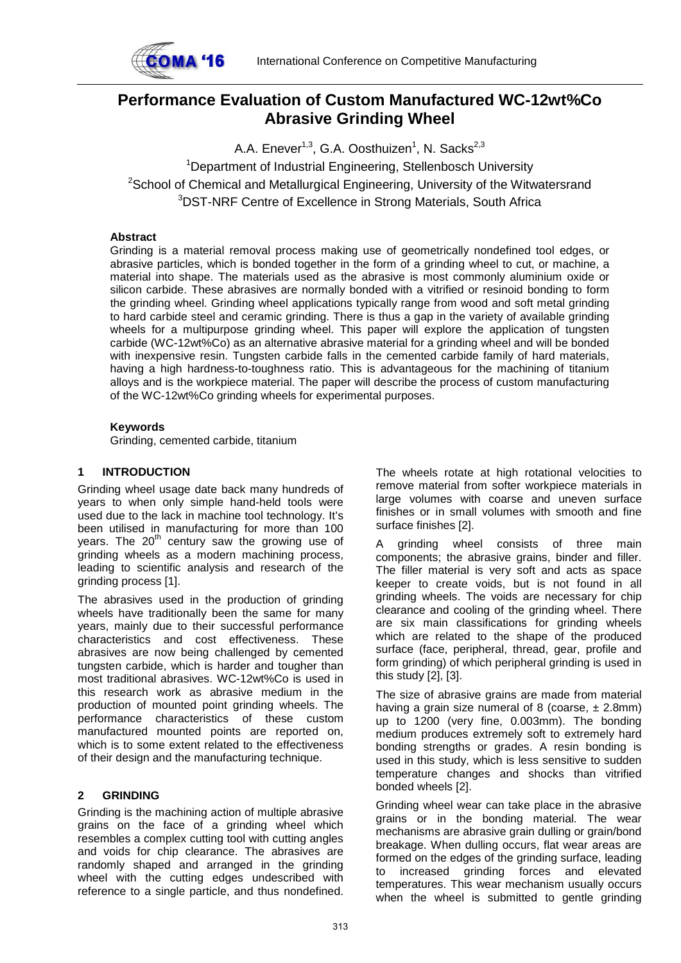

# **Performance Evaluation of Custom Manufactured WC-12wt%Co Abrasive Grinding Wheel**

A.A. Enever<sup>1,3</sup>, G.A. Oosthuizen<sup>1</sup>, N. Sacks<sup>2,3</sup> <sup>1</sup>Department of Industrial Engineering, Stellenbosch University  $2$ School of Chemical and Metallurgical Engineering, University of the Witwatersrand 3 DST-NRF Centre of Excellence in Strong Materials, South Africa

# **Abstract**

Grinding is a material removal process making use of geometrically nondefined tool edges, or abrasive particles, which is bonded together in the form of a grinding wheel to cut, or machine, a material into shape. The materials used as the abrasive is most commonly aluminium oxide or silicon carbide. These abrasives are normally bonded with a vitrified or resinoid bonding to form the grinding wheel. Grinding wheel applications typically range from wood and soft metal grinding to hard carbide steel and ceramic grinding. There is thus a gap in the variety of available grinding wheels for a multipurpose grinding wheel. This paper will explore the application of tungsten carbide (WC-12wt%Co) as an alternative abrasive material for a grinding wheel and will be bonded with inexpensive resin. Tungsten carbide falls in the cemented carbide family of hard materials, having a high hardness-to-toughness ratio. This is advantageous for the machining of titanium alloys and is the workpiece material. The paper will describe the process of custom manufacturing of the WC-12wt%Co grinding wheels for experimental purposes.

# **Keywords**

Grinding, cemented carbide, titanium

# **1 INTRODUCTION**

Grinding wheel usage date back many hundreds of years to when only simple hand-held tools were used due to the lack in machine tool technology. It's been utilised in manufacturing for more than 100 years. The  $20<sup>th</sup>$  century saw the growing use of grinding wheels as a modern machining process, leading to scientific analysis and research of the grinding process [1].

The abrasives used in the production of grinding wheels have traditionally been the same for many years, mainly due to their successful performance characteristics and cost effectiveness. These abrasives are now being challenged by cemented tungsten carbide, which is harder and tougher than most traditional abrasives. WC-12wt%Co is used in this research work as abrasive medium in the production of mounted point grinding wheels. The performance characteristics of these custom manufactured mounted points are reported on, which is to some extent related to the effectiveness of their design and the manufacturing technique.

# **2 GRINDING**

Grinding is the machining action of multiple abrasive grains on the face of a grinding wheel which resembles a complex cutting tool with cutting angles and voids for chip clearance. The abrasives are randomly shaped and arranged in the grinding wheel with the cutting edges undescribed with reference to a single particle, and thus nondefined.

The wheels rotate at high rotational velocities to remove material from softer workpiece materials in large volumes with coarse and uneven surface finishes or in small volumes with smooth and fine surface finishes [2].

A grinding wheel consists of three main components; the abrasive grains, binder and filler. The filler material is very soft and acts as space keeper to create voids, but is not found in all grinding wheels. The voids are necessary for chip clearance and cooling of the grinding wheel. There are six main classifications for grinding wheels which are related to the shape of the produced surface (face, peripheral, thread, gear, profile and form grinding) of which peripheral grinding is used in this study [2], [3].

The size of abrasive grains are made from material having a grain size numeral of 8 (coarse,  $\pm$  2.8mm) up to 1200 (very fine, 0.003mm). The bonding medium produces extremely soft to extremely hard bonding strengths or grades. A resin bonding is used in this study, which is less sensitive to sudden temperature changes and shocks than vitrified bonded wheels [2].

Grinding wheel wear can take place in the abrasive grains or in the bonding material. The wear mechanisms are abrasive grain dulling or grain/bond breakage. When dulling occurs, flat wear areas are formed on the edges of the grinding surface, leading to increased grinding forces and elevated temperatures. This wear mechanism usually occurs when the wheel is submitted to gentle grinding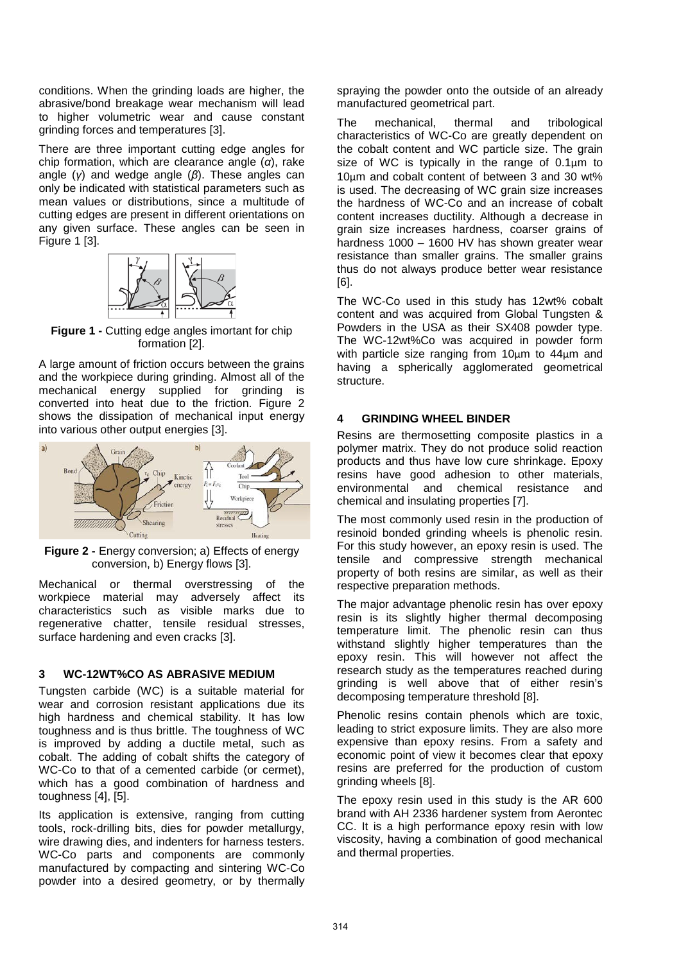conditions. When the grinding loads are higher, the abrasive/bond breakage wear mechanism will lead to higher volumetric wear and cause constant grinding forces and temperatures [3].

There are three important cutting edge angles for chip formation, which are clearance angle (*α*), rake angle (*γ*) and wedge angle (*β*). These angles can only be indicated with statistical parameters such as mean values or distributions, since a multitude of cutting edges are present in different orientations on any given surface. These angles can be seen in [Figure 1](#page-1-0) [3].



<span id="page-1-0"></span>**Figure 1 - Cutting edge angles imortant for chip** formation [2].

A large amount of friction occurs between the grains and the workpiece during grinding. Almost all of the mechanical energy supplied for grinding is converted into heat due to the friction. [Figure 2](#page-1-1) shows the dissipation of mechanical input energy into various other output energies [3].



<span id="page-1-1"></span>**Figure 2 -** Energy conversion; a) Effects of energy conversion, b) Energy flows [3].

Mechanical or thermal overstressing of the workpiece material may adversely affect its characteristics such as visible marks due to regenerative chatter, tensile residual stresses, surface hardening and even cracks [3].

## **3 WC-12WT%CO AS ABRASIVE MEDIUM**

Tungsten carbide (WC) is a suitable material for wear and corrosion resistant applications due its high hardness and chemical stability. It has low toughness and is thus brittle. The toughness of WC is improved by adding a ductile metal, such as cobalt. The adding of cobalt shifts the category of WC-Co to that of a cemented carbide (or cermet), which has a good combination of hardness and toughness [4], [5].

Its application is extensive, ranging from cutting tools, rock-drilling bits, dies for powder metallurgy, wire drawing dies, and indenters for harness testers. WC-Co parts and components are commonly manufactured by compacting and sintering WC-Co powder into a desired geometry, or by thermally spraying the powder onto the outside of an already manufactured geometrical part.

The mechanical, thermal and tribological characteristics of WC-Co are greatly dependent on the cobalt content and WC particle size. The grain size of WC is typically in the range of 0.1μm to 10μm and cobalt content of between 3 and 30 wt% is used. The decreasing of WC grain size increases the hardness of WC-Co and an increase of cobalt content increases ductility. Although a decrease in grain size increases hardness, coarser grains of hardness 1000 – 1600 HV has shown greater wear resistance than smaller grains. The smaller grains thus do not always produce better wear resistance [6].

The WC-Co used in this study has 12wt% cobalt content and was acquired from Global Tungsten & Powders in the USA as their SX408 powder type. The WC-12wt%Co was acquired in powder form with particle size ranging from 10μm to 44μm and having a spherically agglomerated geometrical structure.

#### **4 GRINDING WHEEL BINDER**

Resins are thermosetting composite plastics in a polymer matrix. They do not produce solid reaction products and thus have low cure shrinkage. Epoxy resins have good adhesion to other materials, environmental and chemical resistance and chemical and insulating properties [7].

The most commonly used resin in the production of resinoid bonded grinding wheels is phenolic resin. For this study however, an epoxy resin is used. The tensile and compressive strength mechanical property of both resins are similar, as well as their respective preparation methods.

The major advantage phenolic resin has over epoxy resin is its slightly higher thermal decomposing temperature limit. The phenolic resin can thus withstand slightly higher temperatures than the epoxy resin. This will however not affect the research study as the temperatures reached during grinding is well above that of either resin's decomposing temperature threshold [8].

Phenolic resins contain phenols which are toxic, leading to strict exposure limits. They are also more expensive than epoxy resins. From a safety and economic point of view it becomes clear that epoxy resins are preferred for the production of custom grinding wheels [8].

The epoxy resin used in this study is the AR 600 brand with AH 2336 hardener system from Aerontec CC. It is a high performance epoxy resin with low viscosity, having a combination of good mechanical and thermal properties.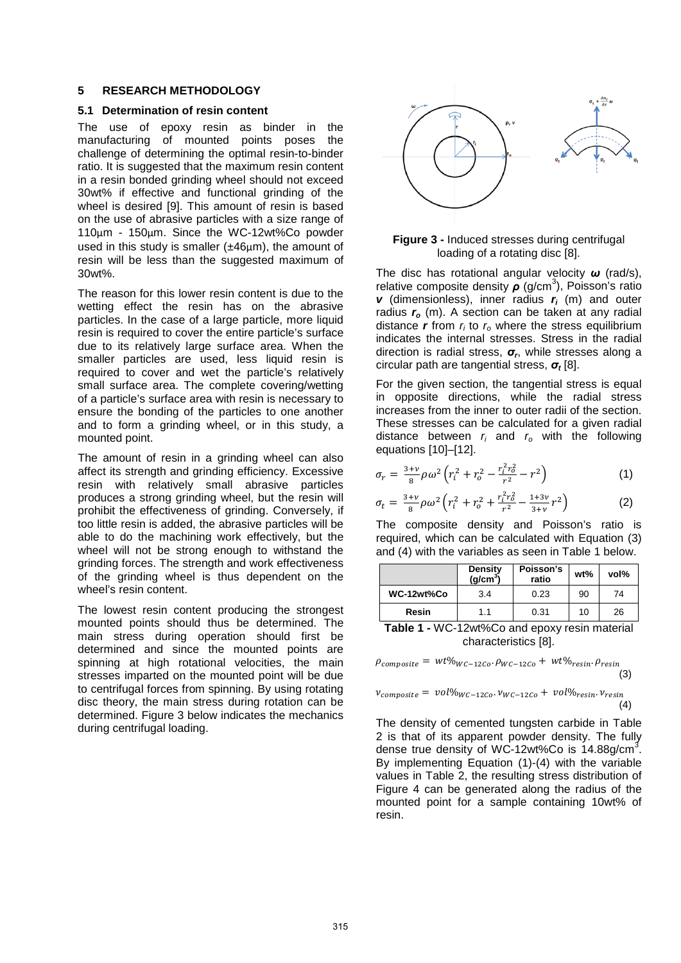#### **5 RESEARCH METHODOLOGY**

# **5.1 Determination of resin content**

The use of epoxy resin as binder in the manufacturing of mounted points poses the challenge of determining the optimal resin-to-binder ratio. It is suggested that the maximum resin content in a resin bonded grinding wheel should not exceed 30wt% if effective and functional grinding of the wheel is desired [9]. This amount of resin is based on the use of abrasive particles with a size range of 110μm - 150μm. Since the WC-12wt%Co powder used in this study is smaller (±46μm), the amount of resin will be less than the suggested maximum of 30wt%.

The reason for this lower resin content is due to the wetting effect the resin has on the abrasive particles. In the case of a large particle, more liquid resin is required to cover the entire particle's surface due to its relatively large surface area. When the smaller particles are used, less liquid resin is required to cover and wet the particle's relatively small surface area. The complete covering/wetting of a particle's surface area with resin is necessary to ensure the bonding of the particles to one another and to form a grinding wheel, or in this study, a mounted point.

The amount of resin in a grinding wheel can also affect its strength and grinding efficiency. Excessive resin with relatively small abrasive particles produces a strong grinding wheel, but the resin will prohibit the effectiveness of grinding. Conversely, if too little resin is added, the abrasive particles will be able to do the machining work effectively, but the wheel will not be strong enough to withstand the grinding forces. The strength and work effectiveness of the grinding wheel is thus dependent on the wheel's resin content.

The lowest resin content producing the strongest mounted points should thus be determined. The main stress during operation should first be determined and since the mounted points are spinning at high rotational velocities, the main stresses imparted on the mounted point will be due to centrifugal forces from spinning. By using rotating disc theory, the main stress during rotation can be determined. [Figure 3](#page-2-0) below indicates the mechanics during centrifugal loading.



**Figure 3 -** Induced stresses during centrifugal loading of a rotating disc [8].

<span id="page-2-0"></span>The disc has rotational angular velocity *ω* (rad/s), relative composite density *ρ* (g/cm<sup>3</sup>), Poisson's ratio *v* (dimensionless), inner radius *ri* (m) and outer radius  $r_o$  (m). A section can be taken at any radial distance  $r$  from  $r_i$  to  $r_o$  where the stress equilibrium indicates the internal stresses. Stress in the radial direction is radial stress, *σr*, while stresses along a circular path are tangential stress, *σ<sup>t</sup>* [8].

For the given section, the tangential stress is equal in opposite directions, while the radial stress increases from the inner to outer radii of the section. These stresses can be calculated for a given radial distance between *ri* and *ro* with the following equations [10]–[12].

$$
\sigma_r = \frac{3+v}{8} \rho \omega^2 \left( r_i^2 + r_o^2 - \frac{r_i^2 r_o^2}{r^2} - r^2 \right) \tag{1}
$$

$$
\sigma_t = \frac{3+v}{8} \rho \omega^2 \left( r_i^2 + r_o^2 + \frac{r_i^2 r_o^2}{r^2} - \frac{1+3v}{3+v} r^2 \right) \tag{2}
$$

The composite density and Poisson's ratio is required, which can be calculated with Equation (3) and (4) with the variables as seen in [Table 1](#page-2-1) below.

|                                                        | <b>Density</b><br>(g/cm <sup>3</sup> ) | Poisson's<br>ratio | wt% | vol% |
|--------------------------------------------------------|----------------------------------------|--------------------|-----|------|
| WC-12wt%Co                                             | 3.4                                    | 0.23               | 90  | 74   |
| Resin                                                  | 1.1                                    | 0.31               | 10  | 26   |
| $1000 \times 0.4000$<br>エーレー・イ<br>المتأمر مناقبها لممر |                                        |                    |     |      |

<span id="page-2-1"></span>**Table 1 -** WC-12wt%Co and epoxy resin material characteristics [8].

 $\rho_{composite} = wt\%_{WC-12Co} \cdot \rho_{WC-12Co} + wt\%_{resin} \cdot \rho_{resin}$  $(3)$ 

$$
v_{composite} = vol\%_{WC-12Co} \cdot v_{WC-12Co} + vol\%_{resin} \cdot v_{resin}
$$
\n(4)

The density of cemented tungsten carbide in [Table](#page-3-0)  [2](#page-3-0) is that of its apparent powder density. The fully dense true density of WC-12wt%Co is  $14.88$ g/cm<sup>3</sup>. By implementing Equation (1)-(4) with the variable values in [Table 2,](#page-3-0) the resulting stress distribution of [Figure 4](#page-3-1) can be generated along the radius of the mounted point for a sample containing 10wt% of resin.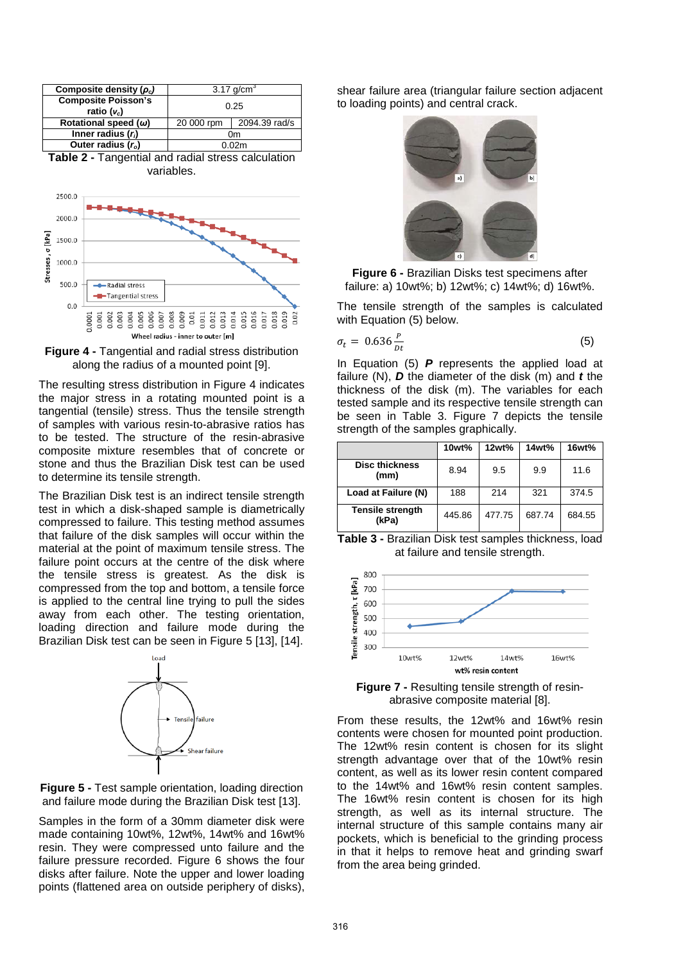

<span id="page-3-0"></span>

<span id="page-3-1"></span>**Figure 4 -** Tangential and radial stress distribution along the radius of a mounted point [9].

The resulting stress distribution in [Figure 4](#page-3-1) indicates the major stress in a rotating mounted point is a tangential (tensile) stress. Thus the tensile strength of samples with various resin-to-abrasive ratios has to be tested. The structure of the resin-abrasive composite mixture resembles that of concrete or stone and thus the Brazilian Disk test can be used to determine its tensile strength.

The Brazilian Disk test is an indirect tensile strength test in which a disk-shaped sample is diametrically compressed to failure. This testing method assumes that failure of the disk samples will occur within the material at the point of maximum tensile stress. The failure point occurs at the centre of the disk where the tensile stress is greatest. As the disk is compressed from the top and bottom, a tensile force is applied to the central line trying to pull the sides away from each other. The testing orientation, loading direction and failure mode during the Brazilian Disk test can be seen in [Figure 5](#page-3-2) [13], [14].



<span id="page-3-2"></span>**Figure 5 - Test sample orientation, loading direction** and failure mode during the Brazilian Disk test [13].

Samples in the form of a 30mm diameter disk were made containing 10wt%, 12wt%, 14wt% and 16wt% resin. They were compressed unto failure and the failure pressure recorded. [Figure 6](#page-3-3) shows the four disks after failure. Note the upper and lower loading points (flattened area on outside periphery of disks), shear failure area (triangular failure section adjacent to loading points) and central crack.



**Figure 6 -** Brazilian Disks test specimens after failure: a) 10wt%; b) 12wt%; c) 14wt%; d) 16wt%.

<span id="page-3-3"></span>The tensile strength of the samples is calculated with Equation (5) below.

$$
\sigma_t = 0.636 \frac{P}{Dt} \tag{5}
$$

In Equation (5) *P* represents the applied load at failure (N), *D* the diameter of the disk (m) and *t* the thickness of the disk (m). The variables for each tested sample and its respective tensile strength can be seen in [Table 3.](#page-3-4) [Figure 7](#page-3-5) depicts the tensile strength of the samples graphically.

|                                  | 10wt%  | 12wt%  | 14wt%  | 16wt%  |
|----------------------------------|--------|--------|--------|--------|
| <b>Disc thickness</b><br>(mm)    | 8.94   | 9.5    | 9.9    | 11.6   |
| Load at Failure (N)              | 188    | 214    | 321    | 374.5  |
| <b>Tensile strength</b><br>(kPa) | 445.86 | 477.75 | 687.74 | 684.55 |

<span id="page-3-4"></span>**Table 3 -** Brazilian Disk test samples thickness, load at failure and tensile strength.



<span id="page-3-5"></span>**Figure 7 -** Resulting tensile strength of resinabrasive composite material [8].

From these results, the 12wt% and 16wt% resin contents were chosen for mounted point production. The 12wt% resin content is chosen for its slight strength advantage over that of the 10wt% resin content, as well as its lower resin content compared to the 14wt% and 16wt% resin content samples. The 16wt% resin content is chosen for its high strength, as well as its internal structure. The internal structure of this sample contains many air pockets, which is beneficial to the grinding process in that it helps to remove heat and grinding swarf from the area being grinded.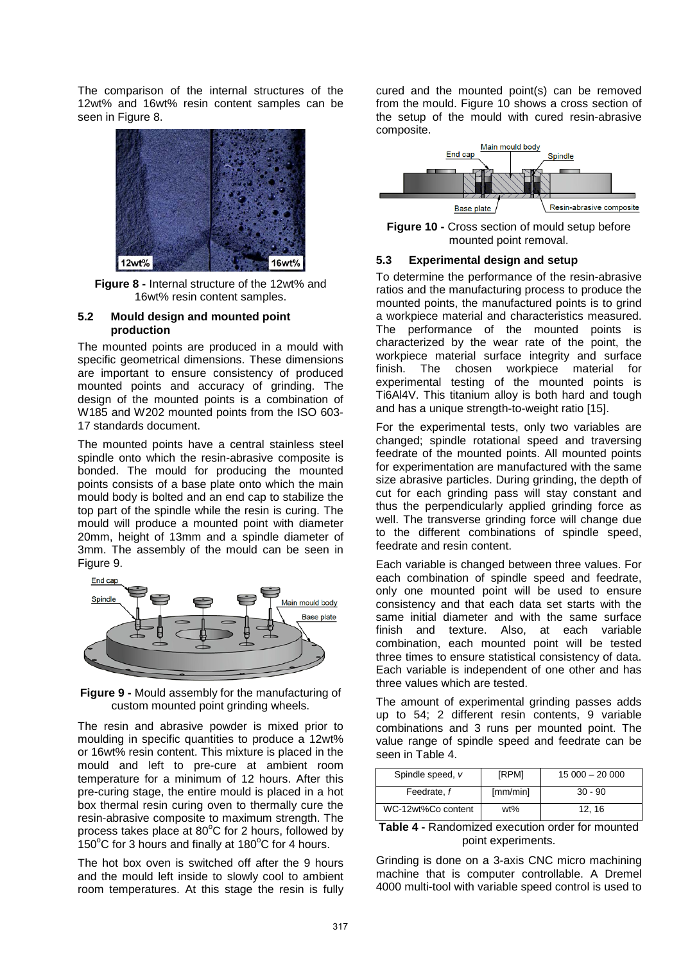The comparison of the internal structures of the 12wt% and 16wt% resin content samples can be seen in [Figure 8.](#page-4-0)



**Figure 8 -** Internal structure of the 12wt% and 16wt% resin content samples.

#### <span id="page-4-0"></span>**5.2 Mould design and mounted point production**

The mounted points are produced in a mould with specific geometrical dimensions. These dimensions are important to ensure consistency of produced mounted points and accuracy of grinding. The design of the mounted points is a combination of W185 and W202 mounted points from the ISO 603- 17 standards document.

The mounted points have a central stainless steel spindle onto which the resin-abrasive composite is bonded. The mould for producing the mounted points consists of a base plate onto which the main mould body is bolted and an end cap to stabilize the top part of the spindle while the resin is curing. The mould will produce a mounted point with diameter 20mm, height of 13mm and a spindle diameter of 3mm. The assembly of the mould can be seen in [Figure 9.](#page-4-1)



<span id="page-4-1"></span>**Figure 9 -** Mould assembly for the manufacturing of custom mounted point grinding wheels.

The resin and abrasive powder is mixed prior to moulding in specific quantities to produce a 12wt% or 16wt% resin content. This mixture is placed in the mould and left to pre-cure at ambient room temperature for a minimum of 12 hours. After this pre-curing stage, the entire mould is placed in a hot box thermal resin curing oven to thermally cure the resin-abrasive composite to maximum strength. The process takes place at  $80^{\circ}$ C for 2 hours, followed by 150°C for 3 hours and finally at 180°C for 4 hours.

The hot box oven is switched off after the 9 hours and the mould left inside to slowly cool to ambient room temperatures. At this stage the resin is fully

cured and the mounted point(s) can be removed from the mould. [Figure 10](#page-4-2) shows a cross section of the setup of the mould with cured resin-abrasive composite.



<span id="page-4-2"></span>**Figure 10 - Cross section of mould setup before** mounted point removal.

### **5.3 Experimental design and setup**

To determine the performance of the resin-abrasive ratios and the manufacturing process to produce the mounted points, the manufactured points is to grind a workpiece material and characteristics measured. The performance of the mounted points is characterized by the wear rate of the point, the workpiece material surface integrity and surface finish. The chosen workpiece material for experimental testing of the mounted points is Ti6Al4V. This titanium alloy is both hard and tough and has a unique strength-to-weight ratio [15].

For the experimental tests, only two variables are changed; spindle rotational speed and traversing feedrate of the mounted points. All mounted points for experimentation are manufactured with the same size abrasive particles. During grinding, the depth of cut for each grinding pass will stay constant and thus the perpendicularly applied grinding force as well. The transverse grinding force will change due to the different combinations of spindle speed, feedrate and resin content.

Each variable is changed between three values. For each combination of spindle speed and feedrate, only one mounted point will be used to ensure consistency and that each data set starts with the same initial diameter and with the same surface finish and texture. Also, at each variable combination, each mounted point will be tested three times to ensure statistical consistency of data. Each variable is independent of one other and has three values which are tested.

The amount of experimental grinding passes adds up to 54; 2 different resin contents, 9 variable combinations and 3 runs per mounted point. The value range of spindle speed and feedrate can be seen in [Table 4.](#page-4-3)

| Spindle speed, v   | [RPM]    | $15000 - 20000$ |
|--------------------|----------|-----------------|
| Feedrate, f        | [mm/min] | $30 - 90$       |
| WC-12wt%Co content | wt%      | 12.16           |

<span id="page-4-3"></span>**Table 4 -** Randomized execution order for mounted point experiments.

Grinding is done on a 3-axis CNC micro machining machine that is computer controllable. A Dremel 4000 multi-tool with variable speed control is used to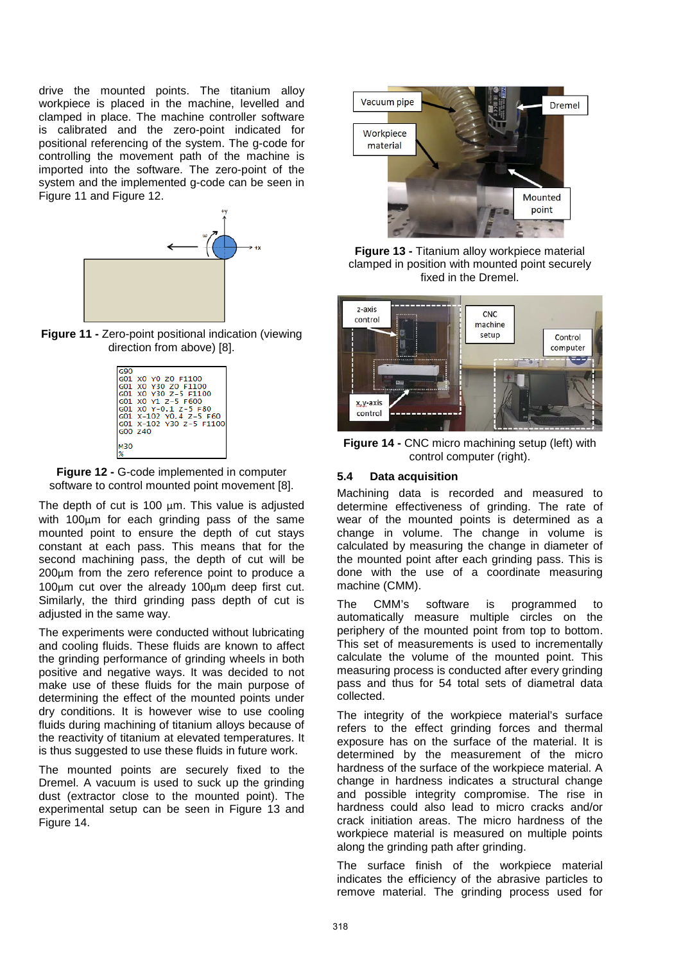drive the mounted points. The titanium alloy workpiece is placed in the machine, levelled and clamped in place. The machine controller software is calibrated and the zero-point indicated for positional referencing of the system. The g-code for controlling the movement path of the machine is imported into the software. The zero-point of the system and the implemented g-code can be seen in [Figure 11](#page-5-0) and [Figure 12.](#page-5-1)



<span id="page-5-0"></span>**Figure 11 - Zero-point positional indication (viewing)** direction from above) [8].

|     | G01 X0 Y0 Z0 F1100      |
|-----|-------------------------|
|     | G01 X0 Y30 Z0 F1100     |
|     | G01 X0 Y30 Z-5 F1100    |
|     | G01 X0 Y1 Z-5 F600      |
|     | GO1 XO Y-0.1 Z-5 F80    |
|     | G01 X-102 Y0.4 Z-5 F60  |
|     | G01 X-102 Y30 Z-5 F1100 |
|     | G00 Z40                 |
|     |                         |
| 130 |                         |
|     |                         |

<span id="page-5-1"></span>

The depth of cut is 100  $\mu$ m. This value is adjusted with 100μm for each grinding pass of the same mounted point to ensure the depth of cut stays constant at each pass. This means that for the second machining pass, the depth of cut will be 200μm from the zero reference point to produce a 100μm cut over the already 100μm deep first cut. Similarly, the third grinding pass depth of cut is adjusted in the same way.

The experiments were conducted without lubricating and cooling fluids. These fluids are known to affect the grinding performance of grinding wheels in both positive and negative ways. It was decided to not make use of these fluids for the main purpose of determining the effect of the mounted points under dry conditions. It is however wise to use cooling fluids during machining of titanium alloys because of the reactivity of titanium at elevated temperatures. It is thus suggested to use these fluids in future work.

The mounted points are securely fixed to the Dremel. A vacuum is used to suck up the grinding dust (extractor close to the mounted point). The experimental setup can be seen in [Figure 13](#page-5-2) and [Figure 14.](#page-5-3)



**Figure 13 -** Titanium alloy workpiece material clamped in position with mounted point securely fixed in the Dremel.

<span id="page-5-2"></span>

**Figure 14 -** CNC micro machining setup (left) with control computer (right).

# <span id="page-5-3"></span>**5.4 Data acquisition**

Machining data is recorded and measured to determine effectiveness of grinding. The rate of wear of the mounted points is determined as a change in volume. The change in volume is calculated by measuring the change in diameter of the mounted point after each grinding pass. This is done with the use of a coordinate measuring machine (CMM).

The CMM's software is programmed to automatically measure multiple circles on the periphery of the mounted point from top to bottom. This set of measurements is used to incrementally calculate the volume of the mounted point. This measuring process is conducted after every grinding pass and thus for 54 total sets of diametral data collected.

The integrity of the workpiece material's surface refers to the effect grinding forces and thermal exposure has on the surface of the material. It is determined by the measurement of the micro hardness of the surface of the workpiece material. A change in hardness indicates a structural change and possible integrity compromise. The rise in hardness could also lead to micro cracks and/or crack initiation areas. The micro hardness of the workpiece material is measured on multiple points along the grinding path after grinding.

The surface finish of the workpiece material indicates the efficiency of the abrasive particles to remove material. The grinding process used for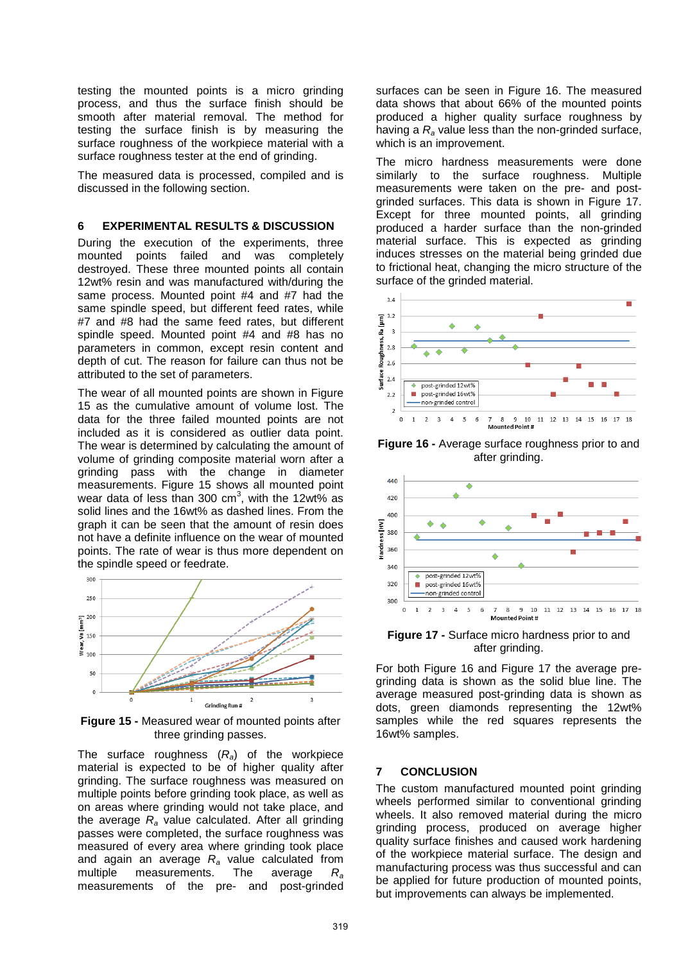testing the mounted points is a micro grinding process, and thus the surface finish should be smooth after material removal. The method for testing the surface finish is by measuring the surface roughness of the workpiece material with a surface roughness tester at the end of grinding.

The measured data is processed, compiled and is discussed in the following section.

## **6 EXPERIMENTAL RESULTS & DISCUSSION**

During the execution of the experiments, three mounted points failed and was completely destroyed. These three mounted points all contain 12wt% resin and was manufactured with/during the same process. Mounted point #4 and #7 had the same spindle speed, but different feed rates, while #7 and #8 had the same feed rates, but different spindle speed. Mounted point #4 and #8 has no parameters in common, except resin content and depth of cut. The reason for failure can thus not be attributed to the set of parameters.

The wear of all mounted points are shown in [Figure](#page-6-0)  [15](#page-6-0) as the cumulative amount of volume lost. The data for the three failed mounted points are not included as it is considered as outlier data point. The wear is determined by calculating the amount of volume of grinding composite material worn after a grinding pass with the change in diameter measurements. [Figure 15](#page-6-0) shows all mounted point wear data of less than 300 cm<sup>3</sup>, with the 12wt% as solid lines and the 16wt% as dashed lines. From the graph it can be seen that the amount of resin does not have a definite influence on the wear of mounted points. The rate of wear is thus more dependent on the spindle speed or feedrate.



<span id="page-6-0"></span>**Figure 15 -** Measured wear of mounted points after three grinding passes.

The surface roughness (*Ra*) of the workpiece material is expected to be of higher quality after grinding. The surface roughness was measured on multiple points before grinding took place, as well as on areas where grinding would not take place, and the average *Ra* value calculated. After all grinding passes were completed, the surface roughness was measured of every area where grinding took place and again an average  $R_a$  value calculated from multiple measurements. The average  $R_a$ measurements. The average  $R_a$ measurements of the pre- and post-grinded

surfaces can be seen in [Figure 16.](#page-6-1) The measured data shows that about 66% of the mounted points produced a higher quality surface roughness by having a *Ra* value less than the non-grinded surface, which is an improvement.

The micro hardness measurements were done similarly to the surface roughness. Multiple measurements were taken on the pre- and postgrinded surfaces. This data is shown in [Figure 17.](#page-6-2) Except for three mounted points, all grinding produced a harder surface than the non-grinded material surface. This is expected as grinding induces stresses on the material being grinded due to frictional heat, changing the micro structure of the surface of the grinded material.



<span id="page-6-1"></span>**Figure 16 -** Average surface roughness prior to and after grinding.



<span id="page-6-2"></span>**Figure 17 -** Surface micro hardness prior to and after grinding.

For both [Figure 16](#page-6-1) and [Figure 17](#page-6-2) the average pregrinding data is shown as the solid blue line. The average measured post-grinding data is shown as dots, green diamonds representing the 12wt% samples while the red squares represents the 16wt% samples.

# **7 CONCLUSION**

The custom manufactured mounted point grinding wheels performed similar to conventional grinding wheels. It also removed material during the micro grinding process, produced on average higher quality surface finishes and caused work hardening of the workpiece material surface. The design and manufacturing process was thus successful and can be applied for future production of mounted points, but improvements can always be implemented.